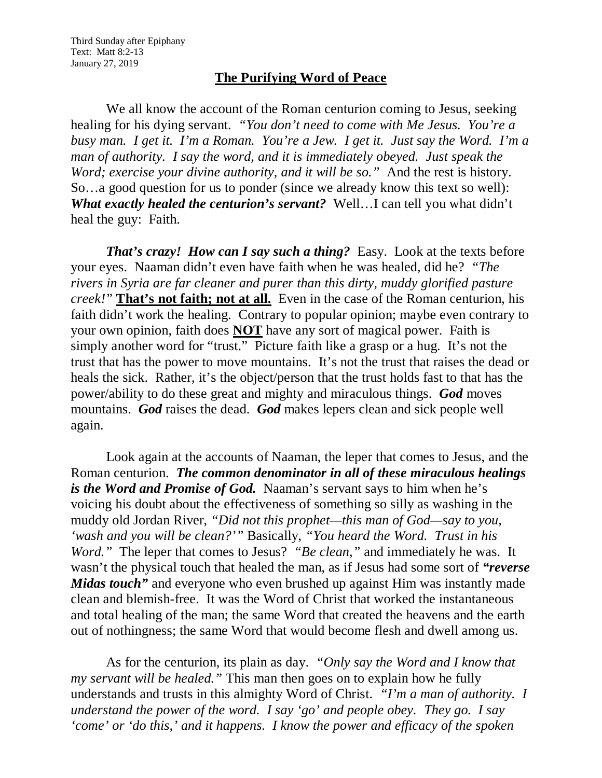## **The Purifying Word of Peace**

We all know the account of the Roman centurion coming to Jesus, seeking healing for his dying servant. *"You don't need to come with Me Jesus. You're a busy man. I get it. I'm a Roman. You're a Jew. I get it. Just say the Word. I'm a man of authority. I say the word, and it is immediately obeyed. Just speak the Word; exercise your divine authority, and it will be so."* And the rest is history. So…a good question for us to ponder (since we already know this text so well): *What exactly healed the centurion's servant?* Well…I can tell you what didn't heal the guy: Faith.

*That's crazy! How can I say such a thing?* Easy. Look at the texts before your eyes. Naaman didn't even have faith when he was healed, did he? *"The rivers in Syria are far cleaner and purer than this dirty, muddy glorified pasture creek!"* **That's not faith; not at all.** Even in the case of the Roman centurion, his faith didn't work the healing. Contrary to popular opinion; maybe even contrary to your own opinion, faith does **NOT** have any sort of magical power. Faith is simply another word for "trust." Picture faith like a grasp or a hug. It's not the trust that has the power to move mountains. It's not the trust that raises the dead or heals the sick. Rather, it's the object/person that the trust holds fast to that has the power/ability to do these great and mighty and miraculous things. *God* moves mountains. *God* raises the dead. *God* makes lepers clean and sick people well again.

Look again at the accounts of Naaman, the leper that comes to Jesus, and the Roman centurion. *The common denominator in all of these miraculous healings is the Word and Promise of God.* Naaman's servant says to him when he's voicing his doubt about the effectiveness of something so silly as washing in the muddy old Jordan River, *"Did not this prophet—this man of God—say to you, 'wash and you will be clean?'"* Basically, *"You heard the Word. Trust in his Word."* The leper that comes to Jesus? *"Be clean,"* and immediately he was. It wasn't the physical touch that healed the man, as if Jesus had some sort of *"reverse Midas touch*" and everyone who even brushed up against Him was instantly made clean and blemish-free. It was the Word of Christ that worked the instantaneous and total healing of the man; the same Word that created the heavens and the earth out of nothingness; the same Word that would become flesh and dwell among us.

As for the centurion, its plain as day. *"Only say the Word and I know that my servant will be healed."* This man then goes on to explain how he fully understands and trusts in this almighty Word of Christ. *"I'm a man of authority. I understand the power of the word. I say 'go' and people obey. They go. I say 'come' or 'do this,' and it happens. I know the power and efficacy of the spoken*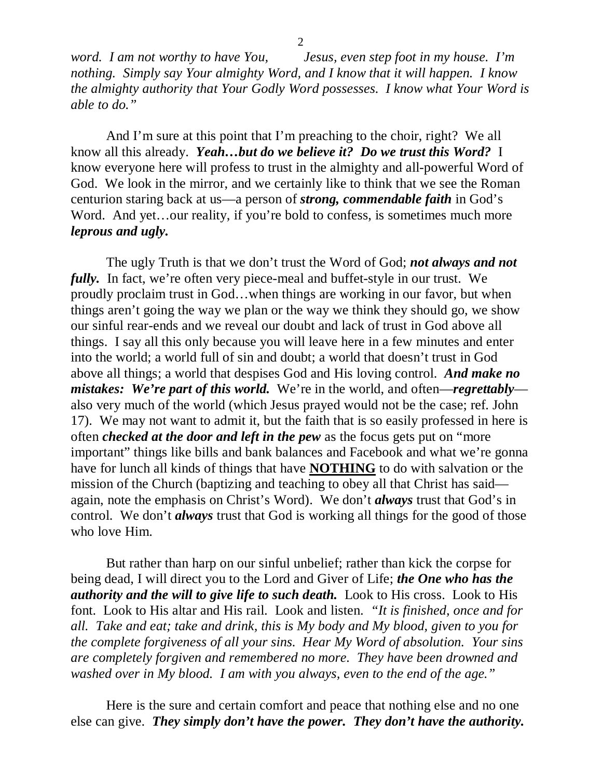*word. I am not worthy to have You, Jesus, even step foot in my house. I'm nothing. Simply say Your almighty Word, and I know that it will happen. I know the almighty authority that Your Godly Word possesses. I know what Your Word is able to do."*

And I'm sure at this point that I'm preaching to the choir, right? We all know all this already. *Yeah…but do we believe it? Do we trust this Word?* I know everyone here will profess to trust in the almighty and all-powerful Word of God. We look in the mirror, and we certainly like to think that we see the Roman centurion staring back at us—a person of *strong, commendable faith* in God's Word. And yet...our reality, if you're bold to confess, is sometimes much more *leprous and ugly.*

The ugly Truth is that we don't trust the Word of God; *not always and not fully.* In fact, we're often very piece-meal and buffet-style in our trust. We proudly proclaim trust in God…when things are working in our favor, but when things aren't going the way we plan or the way we think they should go, we show our sinful rear-ends and we reveal our doubt and lack of trust in God above all things. I say all this only because you will leave here in a few minutes and enter into the world; a world full of sin and doubt; a world that doesn't trust in God above all things; a world that despises God and His loving control. *And make no mistakes: We're part of this world.* We're in the world, and often—*regrettably* also very much of the world (which Jesus prayed would not be the case; ref. John 17). We may not want to admit it, but the faith that is so easily professed in here is often *checked at the door and left in the pew* as the focus gets put on "more important" things like bills and bank balances and Facebook and what we're gonna have for lunch all kinds of things that have **NOTHING** to do with salvation or the mission of the Church (baptizing and teaching to obey all that Christ has said again, note the emphasis on Christ's Word). We don't *always* trust that God's in control. We don't *always* trust that God is working all things for the good of those who love Him.

But rather than harp on our sinful unbelief; rather than kick the corpse for being dead, I will direct you to the Lord and Giver of Life; *the One who has the authority and the will to give life to such death.* Look to His cross. Look to His font. Look to His altar and His rail. Look and listen. *"It is finished, once and for all. Take and eat; take and drink, this is My body and My blood, given to you for the complete forgiveness of all your sins. Hear My Word of absolution. Your sins are completely forgiven and remembered no more. They have been drowned and washed over in My blood. I am with you always, even to the end of the age."*

Here is the sure and certain comfort and peace that nothing else and no one else can give. *They simply don't have the power. They don't have the authority.*